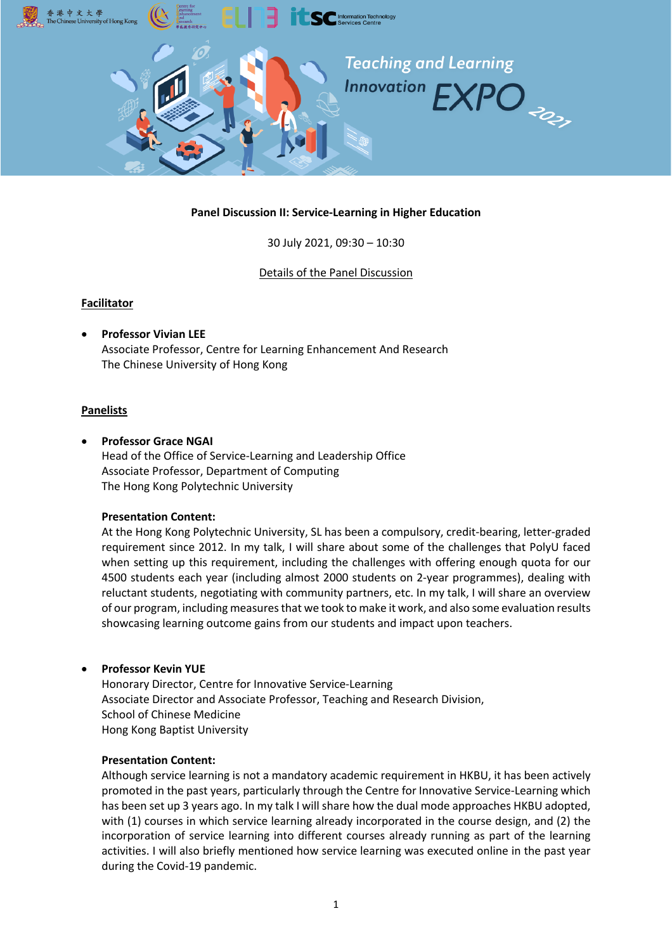

### **Panel Discussion II: Service-Learning in Higher Education**

30 July 2021, 09:30 – 10:30

#### Details of the Panel Discussion

#### **Facilitator**

• **Professor Vivian LEE** Associate Professor, Centre for Learning Enhancement And Research The Chinese University of Hong Kong

#### **Panelists**

• **Professor Grace NGAI** Head of the Office of Service-Learning and Leadership Office Associate Professor, Department of Computing The Hong Kong Polytechnic University

#### **Presentation Content:**

At the Hong Kong Polytechnic University, SL has been a compulsory, credit-bearing, letter-graded requirement since 2012. In my talk, I will share about some of the challenges that PolyU faced when setting up this requirement, including the challenges with offering enough quota for our 4500 students each year (including almost 2000 students on 2-year programmes), dealing with reluctant students, negotiating with community partners, etc. In my talk, I will share an overview of our program, including measures that we took to make it work, and also some evaluation results showcasing learning outcome gains from our students and impact upon teachers.

#### • **Professor Kevin YUE**

Honorary Director, Centre for Innovative Service-Learning Associate Director and Associate Professor, Teaching and Research Division, School of Chinese Medicine Hong Kong Baptist University

#### **Presentation Content:**

Although service learning is not a mandatory academic requirement in HKBU, it has been actively promoted in the past years, particularly through the Centre for Innovative Service-Learning which has been set up 3 years ago. In my talk I will share how the dual mode approaches HKBU adopted, with (1) courses in which service learning already incorporated in the course design, and (2) the incorporation of service learning into different courses already running as part of the learning activities. I will also briefly mentioned how service learning was executed online in the past year during the Covid-19 pandemic.